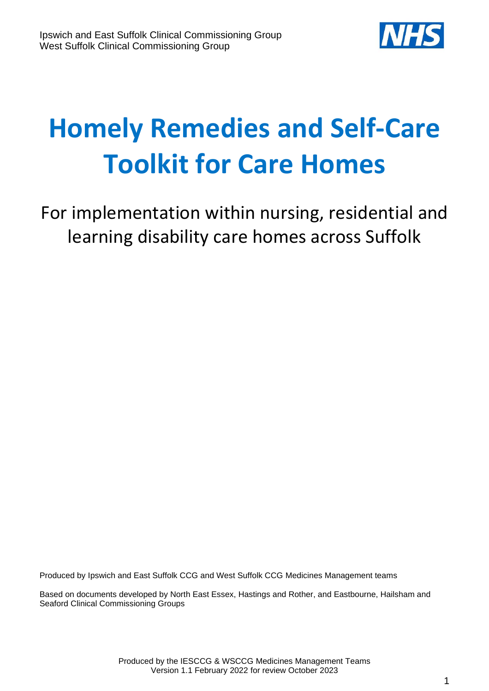

# **Homely Remedies and Self-Care Toolkit for Care Homes**

For implementation within nursing, residential and learning disability care homes across Suffolk

Produced by Ipswich and East Suffolk CCG and West Suffolk CCG Medicines Management teams

Based on documents developed by North East Essex, Hastings and Rother, and Eastbourne, Hailsham and Seaford Clinical Commissioning Groups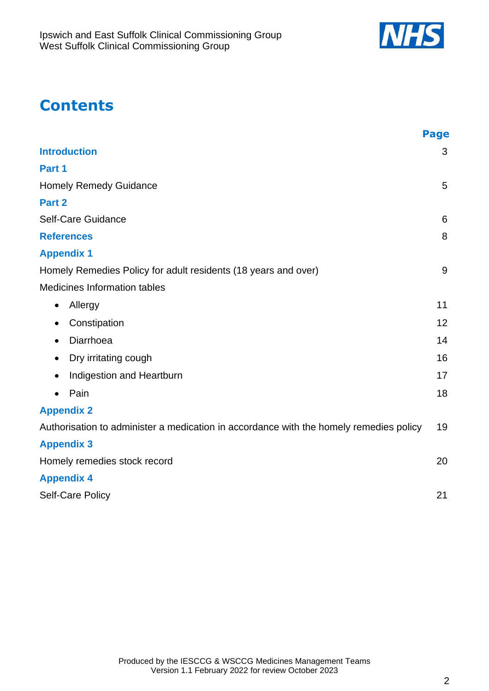

# **Contents**

|                                                                                        | <b>Page</b> |
|----------------------------------------------------------------------------------------|-------------|
| <b>Introduction</b>                                                                    | 3           |
| Part 1                                                                                 |             |
| <b>Homely Remedy Guidance</b>                                                          | 5           |
| Part 2                                                                                 |             |
| Self-Care Guidance                                                                     | 6           |
| <b>References</b>                                                                      | 8           |
| <b>Appendix 1</b>                                                                      |             |
| Homely Remedies Policy for adult residents (18 years and over)                         | 9           |
| Medicines Information tables                                                           |             |
| Allergy<br>$\bullet$                                                                   | 11          |
| Constipation<br>$\bullet$                                                              | 12          |
| Diarrhoea<br>$\bullet$                                                                 | 14          |
| Dry irritating cough<br>$\bullet$                                                      | 16          |
| Indigestion and Heartburn<br>٠                                                         | 17          |
| Pain<br>$\bullet$                                                                      | 18          |
| <b>Appendix 2</b>                                                                      |             |
| Authorisation to administer a medication in accordance with the homely remedies policy | 19          |
| <b>Appendix 3</b>                                                                      |             |
| Homely remedies stock record                                                           | 20          |
| <b>Appendix 4</b>                                                                      |             |
| Self-Care Policy                                                                       | 21          |
|                                                                                        |             |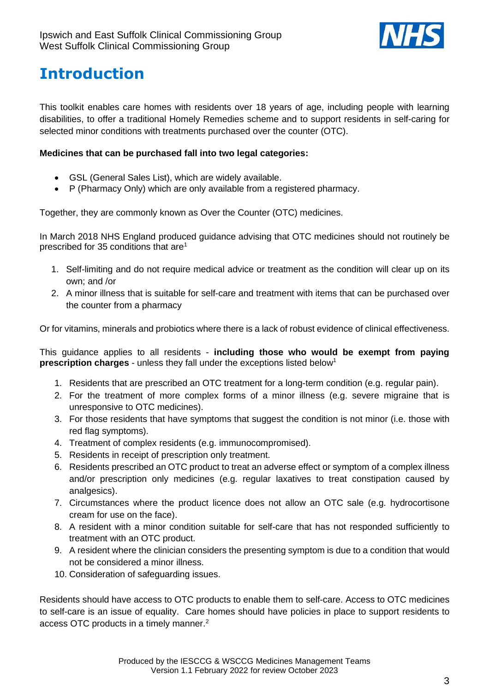

# <span id="page-2-0"></span>**Introduction**

This toolkit enables care homes with residents over 18 years of age, including people with learning disabilities, to offer a traditional Homely Remedies scheme and to support residents in self-caring for selected minor conditions with treatments purchased over the counter (OTC).

#### **Medicines that can be purchased fall into two legal categories:**

- GSL (General Sales List), which are widely available.
- P (Pharmacy Only) which are only available from a registered pharmacy.

Together, they are commonly known as Over the Counter (OTC) medicines.

In March 2018 NHS England produced guidance advising that OTC medicines should not routinely be prescribed for 35 conditions that are<sup>1</sup>

- 1. Self-limiting and do not require medical advice or treatment as the condition will clear up on its own; and /or
- 2. A minor illness that is suitable for self-care and treatment with items that can be purchased over the counter from a pharmacy

Or for vitamins, minerals and probiotics where there is a lack of robust evidence of clinical effectiveness.

This guidance applies to all residents - **including those who would be exempt from paying prescription charges** - unless they fall under the exceptions listed below<sup>1</sup>

- 1. Residents that are prescribed an OTC treatment for a long-term condition (e.g. regular pain).
- 2. For the treatment of more complex forms of a minor illness (e.g. severe migraine that is unresponsive to OTC medicines).
- 3. For those residents that have symptoms that suggest the condition is not minor (i.e. those with red flag symptoms).
- 4. Treatment of complex residents (e.g. immunocompromised).
- 5. Residents in receipt of prescription only treatment.
- 6. Residents prescribed an OTC product to treat an adverse effect or symptom of a complex illness and/or prescription only medicines (e.g. regular laxatives to treat constipation caused by analgesics).
- 7. Circumstances where the product licence does not allow an OTC sale (e.g. hydrocortisone cream for use on the face).
- 8. A resident with a minor condition suitable for self-care that has not responded sufficiently to treatment with an OTC product.
- 9. A resident where the clinician considers the presenting symptom is due to a condition that would not be considered a minor illness.
- 10. Consideration of safeguarding issues.

Residents should have access to OTC products to enable them to self-care. Access to OTC medicines to self-care is an issue of equality. Care homes should have policies in place to support residents to access OTC products in a timely manner. 2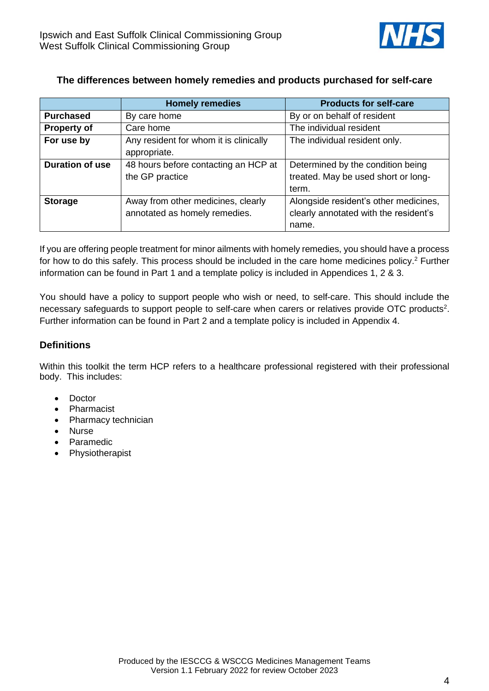

#### **The differences between homely remedies and products purchased for self-care**

|                        | <b>Homely remedies</b>                 | <b>Products for self-care</b>         |
|------------------------|----------------------------------------|---------------------------------------|
| <b>Purchased</b>       | By care home                           | By or on behalf of resident           |
| <b>Property of</b>     | Care home                              | The individual resident               |
| For use by             | Any resident for whom it is clinically | The individual resident only.         |
|                        | appropriate.                           |                                       |
| <b>Duration of use</b> | 48 hours before contacting an HCP at   | Determined by the condition being     |
|                        | the GP practice                        | treated. May be used short or long-   |
|                        |                                        | term.                                 |
| <b>Storage</b>         | Away from other medicines, clearly     | Alongside resident's other medicines, |
|                        | annotated as homely remedies.          | clearly annotated with the resident's |
|                        |                                        | name.                                 |

If you are offering people treatment for minor ailments with homely remedies, you should have a process for how to do this safely. This process should be included in the care home medicines policy. <sup>2</sup> Further information can be found in Part 1 and a template policy is included in Appendices 1, 2 & 3.

You should have a policy to support people who wish or need, to self-care. This should include the necessary safeguards to support people to self-care when carers or relatives provide OTC products<sup>2</sup>. Further information can be found in Part 2 and a template policy is included in Appendix 4.

#### **Definitions**

Within this toolkit the term HCP refers to a healthcare professional registered with their professional body. This includes:

- Doctor
- **Pharmacist**
- Pharmacy technician
- Nurse
- Paramedic
- Physiotherapist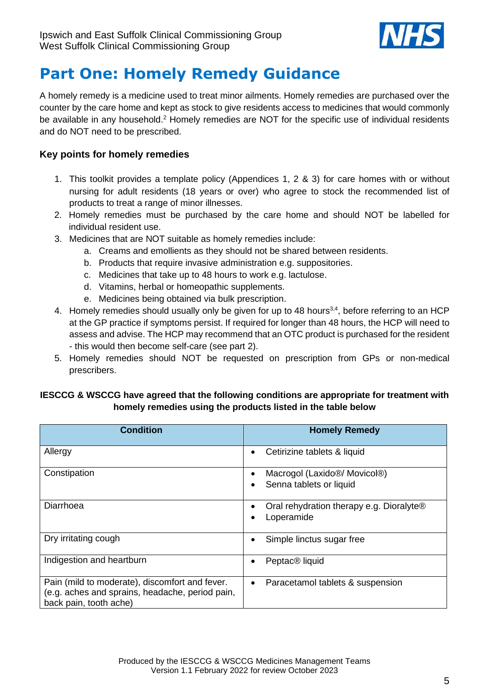

# <span id="page-4-0"></span>**Part One: Homely Remedy Guidance**

A homely remedy is a medicine used to treat minor ailments. Homely remedies are purchased over the counter by the care home and kept as stock to give residents access to medicines that would commonly be available in any household.<sup>2</sup> Homely remedies are NOT for the specific use of individual residents and do NOT need to be prescribed.

#### **Key points for homely remedies**

- 1. This toolkit provides a template policy (Appendices 1, 2 & 3) for care homes with or without nursing for adult residents (18 years or over) who agree to stock the recommended list of products to treat a range of minor illnesses.
- 2. Homely remedies must be purchased by the care home and should NOT be labelled for individual resident use.
- 3. Medicines that are NOT suitable as homely remedies include:
	- a. Creams and emollients as they should not be shared between residents.
	- b. Products that require invasive administration e.g. suppositories.
	- c. Medicines that take up to 48 hours to work e.g. lactulose.
	- d. Vitamins, herbal or homeopathic supplements.
	- e. Medicines being obtained via bulk prescription.
- 4. Homely remedies should usually only be given for up to 48 hours<sup>3,4</sup>, before referring to an HCP at the GP practice if symptoms persist. If required for longer than 48 hours, the HCP will need to assess and advise. The HCP may recommend that an OTC product is purchased for the resident - this would then become self-care (see part 2).
- 5. Homely remedies should NOT be requested on prescription from GPs or non-medical prescribers.

#### **IESCCG & WSCCG have agreed that the following conditions are appropriate for treatment with homely remedies using the products listed in the table below**

| <b>Condition</b>                                                                                                            | <b>Homely Remedy</b>                                                              |
|-----------------------------------------------------------------------------------------------------------------------------|-----------------------------------------------------------------------------------|
| Allergy                                                                                                                     | Cetirizine tablets & liquid<br>$\bullet$                                          |
| Constipation                                                                                                                | Macrogol (Laxido <sup>®</sup> / Movicol <sup>®</sup> )<br>Senna tablets or liquid |
| Diarrhoea                                                                                                                   | Oral rehydration therapy e.g. Dioralyte®<br>Loperamide                            |
| Dry irritating cough                                                                                                        | Simple linctus sugar free                                                         |
| Indigestion and heartburn                                                                                                   | Peptac <sup>®</sup> liquid                                                        |
| Pain (mild to moderate), discomfort and fever.<br>(e.g. aches and sprains, headache, period pain,<br>back pain, tooth ache) | Paracetamol tablets & suspension<br>٠                                             |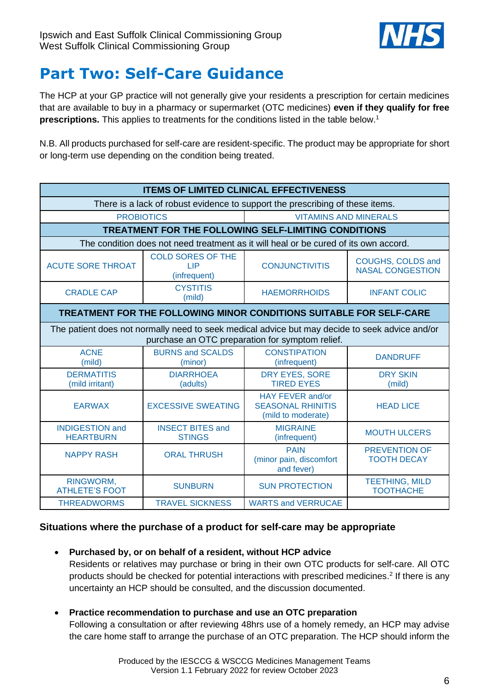

# <span id="page-5-0"></span>**Part Two: Self-Care Guidance**

The HCP at your GP practice will not generally give your residents a prescription for certain medicines that are available to buy in a pharmacy or supermarket (OTC medicines) **even if they qualify for free prescriptions.** This applies to treatments for the conditions listed in the table below. 1

N.B. All products purchased for self-care are resident-specific. The product may be appropriate for short or long-term use depending on the condition being treated.

| <b>ITEMS OF LIMITED CLINICAL EFFECTIVENESS</b>                                                                                                    |                                                                     |                                                                                      |                                              |
|---------------------------------------------------------------------------------------------------------------------------------------------------|---------------------------------------------------------------------|--------------------------------------------------------------------------------------|----------------------------------------------|
| There is a lack of robust evidence to support the prescribing of these items.                                                                     |                                                                     |                                                                                      |                                              |
| <b>PROBIOTICS</b><br><b>VITAMINS AND MINERALS</b>                                                                                                 |                                                                     |                                                                                      |                                              |
|                                                                                                                                                   |                                                                     | TREATMENT FOR THE FOLLOWING SELF-LIMITING CONDITIONS                                 |                                              |
|                                                                                                                                                   |                                                                     | The condition does not need treatment as it will heal or be cured of its own accord. |                                              |
| <b>ACUTE SORE THROAT</b>                                                                                                                          | <b>COLD SORES OF THE</b><br><b>LIP</b><br>(infrequent)              | <b>CONJUNCTIVITIS</b>                                                                | COUGHS, COLDS and<br><b>NASAL CONGESTION</b> |
| <b>CRADLE CAP</b>                                                                                                                                 | <b>CYSTITIS</b><br>(mild)                                           | <b>HAEMORRHOIDS</b>                                                                  | <b>INFANT COLIC</b>                          |
|                                                                                                                                                   | TREATMENT FOR THE FOLLOWING MINOR CONDITIONS SUITABLE FOR SELF-CARE |                                                                                      |                                              |
| The patient does not normally need to seek medical advice but may decide to seek advice and/or<br>purchase an OTC preparation for symptom relief. |                                                                     |                                                                                      |                                              |
| <b>ACNE</b><br>(mild)                                                                                                                             | <b>BURNS and SCALDS</b><br>(minor)                                  | <b>CONSTIPATION</b><br>(infrequent)                                                  | <b>DANDRUFF</b>                              |
| <b>DERMATITIS</b><br>(mild irritant)                                                                                                              | <b>DIARRHOEA</b><br>(adults)                                        | DRY EYES, SORE<br><b>TIRED EYES</b>                                                  | <b>DRY SKIN</b><br>(mild)                    |
| <b>EARWAX</b>                                                                                                                                     | <b>EXCESSIVE SWEATING</b>                                           | HAY FEVER and/or<br><b>SEASONAL RHINITIS</b><br>(mild to moderate)                   | <b>HEAD LICE</b>                             |
| <b>INDIGESTION and</b><br><b>HEARTBURN</b>                                                                                                        | <b>INSECT BITES and</b><br><b>STINGS</b>                            | <b>MIGRAINE</b><br>(infrequent)                                                      | <b>MOUTH ULCERS</b>                          |
| <b>NAPPY RASH</b>                                                                                                                                 | <b>ORAL THRUSH</b>                                                  | <b>PAIN</b><br>(minor pain, discomfort<br>and fever)                                 | <b>PREVENTION OF</b><br><b>TOOTH DECAY</b>   |
| RINGWORM,<br><b>ATHLETE'S FOOT</b>                                                                                                                | <b>SUNBURN</b>                                                      | <b>SUN PROTECTION</b>                                                                | <b>TEETHING, MILD</b><br><b>TOOTHACHE</b>    |
| <b>THREADWORMS</b>                                                                                                                                | <b>TRAVEL SICKNESS</b>                                              | <b>WARTS and VERRUCAE</b>                                                            |                                              |

#### **Situations where the purchase of a product for self-care may be appropriate**

• **Purchased by, or on behalf of a resident, without HCP advice**

Residents or relatives may purchase or bring in their own OTC products for self-care. All OTC products should be checked for potential interactions with prescribed medicines. 2 If there is any uncertainty an HCP should be consulted, and the discussion documented.

• **Practice recommendation to purchase and use an OTC preparation**

Following a consultation or after reviewing 48hrs use of a homely remedy, an HCP may advise the care home staff to arrange the purchase of an OTC preparation. The HCP should inform the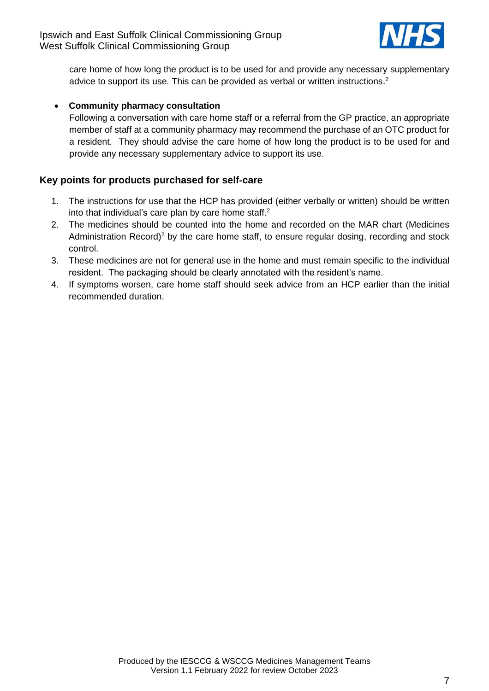

care home of how long the product is to be used for and provide any necessary supplementary advice to support its use. This can be provided as verbal or written instructions. 2

#### • **Community pharmacy consultation**

Following a conversation with care home staff or a referral from the GP practice, an appropriate member of staff at a community pharmacy may recommend the purchase of an OTC product for a resident. They should advise the care home of how long the product is to be used for and provide any necessary supplementary advice to support its use.

#### **Key points for products purchased for self**‐**care**

- 1. The instructions for use that the HCP has provided (either verbally or written) should be written into that individual's care plan by care home staff.<sup>2</sup>
- 2. The medicines should be counted into the home and recorded on the MAR chart (Medicines Administration Record)<sup>2</sup> by the care home staff, to ensure regular dosing, recording and stock control.
- 3. These medicines are not for general use in the home and must remain specific to the individual resident. The packaging should be clearly annotated with the resident's name.
- 4. If symptoms worsen, care home staff should seek advice from an HCP earlier than the initial recommended duration.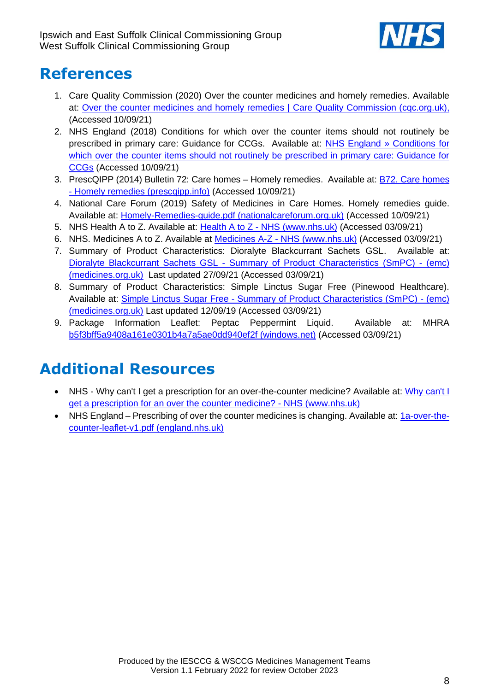

# <span id="page-7-0"></span>**References**

- 1. Care Quality Commission (2020) Over the counter medicines and homely remedies. Available at: [Over the counter medicines and homely remedies |](https://www.cqc.org.uk/guidance-providers/adult-social-care/over-counter-medicines-homely-remedies) Care Quality Commission (cqc.org.uk), (Accessed 10/09/21)
- 2. NHS England (2018) Conditions for which over the counter items should not routinely be prescribed in primary care: Guidance for CCGs. Available at: [NHS England » Conditions for](https://www.england.nhs.uk/publication/conditions-for-which-over-the-counter-items-should-not-routinely-be-prescribed-in-primary-care-guidance-for-ccgs/)  [which over the counter items should not routinely be prescribed in primary care: Guidance for](https://www.england.nhs.uk/publication/conditions-for-which-over-the-counter-items-should-not-routinely-be-prescribed-in-primary-care-guidance-for-ccgs/)  [CCGs](https://www.england.nhs.uk/publication/conditions-for-which-over-the-counter-items-should-not-routinely-be-prescribed-in-primary-care-guidance-for-ccgs/) (Accessed 10/09/21)
- 3. PrescQIPP (2014) Bulletin 72: Care homes Homely remedies. Available at: [B72. Care homes](https://www.prescqipp.info/umbraco/surface/authorisedmediasurface/index?url=%2fmedia%2f1181%2fb72-care-homes-homely-remedies-21.pdf)  - [Homely remedies \(prescqipp.info\)](https://www.prescqipp.info/umbraco/surface/authorisedmediasurface/index?url=%2fmedia%2f1181%2fb72-care-homes-homely-remedies-21.pdf) (Accessed 10/09/21)
- 4. National Care Forum (2019) Safety of Medicines in Care Homes. Homely remedies guide. Available at: [Homely-Remedies-guide.pdf \(nationalcareforum.org.uk\)](https://www.nationalcareforum.org.uk/wp-content/uploads/2019/11/Homely-Remedies-guide.pdf) (Accessed 10/09/21)
- 5. NHS Health A to Z. Available at: Health A to Z [NHS \(www.nhs.uk\)](https://www.nhs.uk/conditions/) (Accessed 03/09/21)
- 6. NHS. Medicines A to Z. Available at Medicines A-Z [NHS \(www.nhs.uk\)](https://www.nhs.uk/medicines/) (Accessed 03/09/21)
- 7. Summary of Product Characteristics: Dioralyte Blackcurrant Sachets GSL. Available at: Dioralyte Blackcurrant Sachets GSL - [Summary of Product Characteristics \(SmPC\) -](https://www.medicines.org.uk/emc/product/2775/smpc) (emc) [\(medicines.org.uk\)](https://www.medicines.org.uk/emc/product/2775/smpc) Last updated 27/09/21 (Accessed 03/09/21)
- 8. Summary of Product Characteristics: Simple Linctus Sugar Free (Pinewood Healthcare). Available at: Simple Linctus Sugar Free - [Summary of Product Characteristics \(SmPC\) -](https://www.medicines.org.uk/emc/product/4510/smpc) (emc) [\(medicines.org.uk\)](https://www.medicines.org.uk/emc/product/4510/smpc) Last updated 12/09/19 (Accessed 03/09/21)
- 9. Package Information Leaflet: Peptac Peppermint Liquid. Available at: MHRA [b5f3bff5a9408a161e0301b4a7a5ae0dd940ef2f \(windows.net\)](https://mhraproductsprod.blob.core.windows.net/docs/b5f3bff5a9408a161e0301b4a7a5ae0dd940ef2f) (Accessed 03/09/21)

# **Additional Resources**

- NHS Why can't I get a prescription for an over-the-counter medicine? Available at: [Why can't I](https://www.nhs.uk/common-health-questions/medicines/why-cant-i-get-prescription-over-counter-medicine/)  [get a prescription for an over the counter medicine? -](https://www.nhs.uk/common-health-questions/medicines/why-cant-i-get-prescription-over-counter-medicine/) NHS (www.nhs.uk)
- NHS England Prescribing of over the counter medicines is changing. Available at: [1a-over-the](https://www.england.nhs.uk/wp-content/uploads/2018/08/1a-over-the-counter-leaflet-v1.pdf)[counter-leaflet-v1.pdf \(england.nhs.uk\)](https://www.england.nhs.uk/wp-content/uploads/2018/08/1a-over-the-counter-leaflet-v1.pdf)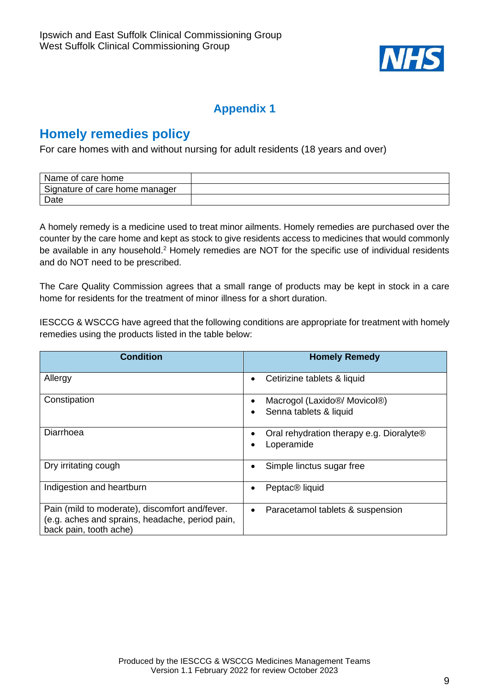

# <span id="page-8-0"></span>**Homely remedies policy**

For care homes with and without nursing for adult residents (18 years and over)

| Name of care home              |  |
|--------------------------------|--|
| Signature of care home manager |  |
| Date                           |  |

A homely remedy is a medicine used to treat minor ailments. Homely remedies are purchased over the counter by the care home and kept as stock to give residents access to medicines that would commonly be available in any household.<sup>2</sup> Homely remedies are NOT for the specific use of individual residents and do NOT need to be prescribed.

The Care Quality Commission agrees that a small range of products may be kept in stock in a care home for residents for the treatment of minor illness for a short duration.

IESCCG & WSCCG have agreed that the following conditions are appropriate for treatment with homely remedies using the products listed in the table below:

| <b>Condition</b>                                                                                                            | <b>Homely Remedy</b>                                                             |
|-----------------------------------------------------------------------------------------------------------------------------|----------------------------------------------------------------------------------|
| Allergy                                                                                                                     | Cetirizine tablets & liquid                                                      |
| Constipation                                                                                                                | Macrogol (Laxido <sup>®</sup> / Movicol <sup>®</sup> )<br>Senna tablets & liquid |
| Diarrhoea                                                                                                                   | Oral rehydration therapy e.g. Dioralyte®<br>Loperamide                           |
| Dry irritating cough                                                                                                        | Simple linctus sugar free                                                        |
| Indigestion and heartburn                                                                                                   | Peptac <sup>®</sup> liquid                                                       |
| Pain (mild to moderate), discomfort and/fever.<br>(e.g. aches and sprains, headache, period pain,<br>back pain, tooth ache) | Paracetamol tablets & suspension<br>$\bullet$                                    |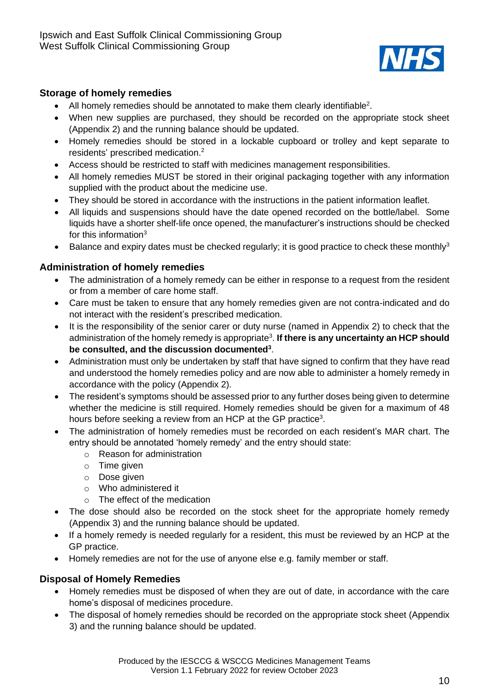

#### **Storage of homely remedies**

- All homely remedies should be annotated to make them clearly identifiable<sup>2</sup>.
- When new supplies are purchased, they should be recorded on the appropriate stock sheet (Appendix 2) and the running balance should be updated.
- Homely remedies should be stored in a lockable cupboard or trolley and kept separate to residents' prescribed medication. 2
- Access should be restricted to staff with medicines management responsibilities.
- All homely remedies MUST be stored in their original packaging together with any information supplied with the product about the medicine use.
- They should be stored in accordance with the instructions in the patient information leaflet.
- All liquids and suspensions should have the date opened recorded on the bottle/label. Some liquids have a shorter shelf-life once opened, the manufacturer's instructions should be checked for this information<sup>3</sup>
- Balance and expiry dates must be checked regularly; it is good practice to check these monthly<sup>3</sup>

#### **Administration of homely remedies**

- The administration of a homely remedy can be either in response to a request from the resident or from a member of care home staff.
- Care must be taken to ensure that any homely remedies given are not contra-indicated and do not interact with the resident's prescribed medication.
- It is the responsibility of the senior carer or duty nurse (named in Appendix 2) to check that the administration of the homely remedy is appropriate<sup>3</sup> . **If there is any uncertainty an HCP should be consulted, and the discussion documented<sup>3</sup>** .
- Administration must only be undertaken by staff that have signed to confirm that they have read and understood the homely remedies policy and are now able to administer a homely remedy in accordance with the policy (Appendix 2).
- The resident's symptoms should be assessed prior to any further doses being given to determine whether the medicine is still required. Homely remedies should be given for a maximum of 48 hours before seeking a review from an HCP at the GP practice<sup>3</sup>.
- The administration of homely remedies must be recorded on each resident's MAR chart. The entry should be annotated 'homely remedy' and the entry should state:
	- o Reason for administration
	- o Time given
	- o Dose given
	- o Who administered it
	- o The effect of the medication
- The dose should also be recorded on the stock sheet for the appropriate homely remedy (Appendix 3) and the running balance should be updated.
- If a homely remedy is needed regularly for a resident, this must be reviewed by an HCP at the GP practice.
- Homely remedies are not for the use of anyone else e.g. family member or staff.

#### **Disposal of Homely Remedies**

- Homely remedies must be disposed of when they are out of date, in accordance with the care home's disposal of medicines procedure.
- The disposal of homely remedies should be recorded on the appropriate stock sheet (Appendix 3) and the running balance should be updated.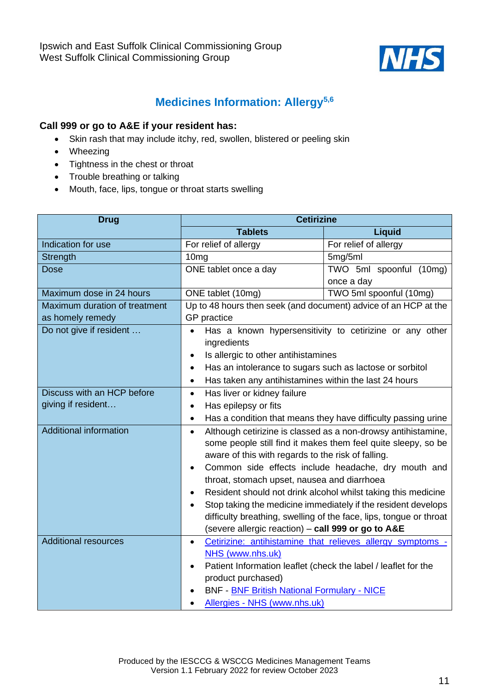

### **Medicines Information: Allergy5,6**

#### <span id="page-10-0"></span>**Call 999 or go to A&E if your resident has:**

- Skin rash that may include itchy, red, swollen, blistered or peeling skin
- Wheezing
- Tightness in the chest or throat
- Trouble breathing or talking
- Mouth, face, lips, tongue or throat starts swelling

| <b>Drug</b>                   | <b>Cetirizine</b>                                                           |                                                                    |
|-------------------------------|-----------------------------------------------------------------------------|--------------------------------------------------------------------|
|                               | <b>Tablets</b>                                                              | <b>Liquid</b>                                                      |
| Indication for use            | For relief of allergy                                                       | For relief of allergy                                              |
| Strength                      | 10 <sub>mg</sub>                                                            | 5mg/5ml                                                            |
| <b>Dose</b>                   | ONE tablet once a day                                                       | TWO 5ml spoonful (10mg)                                            |
|                               |                                                                             | once a day                                                         |
| Maximum dose in 24 hours      | ONE tablet (10mg)                                                           | TWO 5ml spoonful (10mg)                                            |
| Maximum duration of treatment | Up to 48 hours then seek (and document) advice of an HCP at the             |                                                                    |
| as homely remedy              | GP practice                                                                 |                                                                    |
| Do not give if resident       | $\bullet$                                                                   | Has a known hypersensitivity to cetirizine or any other            |
|                               | ingredients                                                                 |                                                                    |
|                               | Is allergic to other antihistamines<br>$\bullet$                            |                                                                    |
|                               | Has an intolerance to sugars such as lactose or sorbitol<br>$\bullet$       |                                                                    |
|                               | Has taken any antihistamines within the last 24 hours<br>$\bullet$          |                                                                    |
| Discuss with an HCP before    | Has liver or kidney failure<br>$\bullet$                                    |                                                                    |
| giving if resident            | Has epilepsy or fits<br>$\bullet$                                           |                                                                    |
|                               | $\bullet$                                                                   | Has a condition that means they have difficulty passing urine      |
| <b>Additional information</b> | Although cetirizine is classed as a non-drowsy antihistamine,<br>$\bullet$  |                                                                    |
|                               | some people still find it makes them feel quite sleepy, so be               |                                                                    |
|                               | aware of this with regards to the risk of falling.                          |                                                                    |
|                               | Common side effects include headache, dry mouth and<br>٠                    |                                                                    |
|                               | throat, stomach upset, nausea and diarrhoea                                 |                                                                    |
|                               | Resident should not drink alcohol whilst taking this medicine<br>$\bullet$  |                                                                    |
|                               |                                                                             | Stop taking the medicine immediately if the resident develops      |
|                               |                                                                             | difficulty breathing, swelling of the face, lips, tongue or throat |
|                               | (severe allergic reaction) - call 999 or go to A&E                          |                                                                    |
| <b>Additional resources</b>   | $\bullet$                                                                   | Cetirizine: antihistamine that relieves allergy symptoms -         |
|                               | NHS (www.nhs.uk)                                                            |                                                                    |
|                               | Patient Information leaflet (check the label / leaflet for the<br>$\bullet$ |                                                                    |
|                               | product purchased)                                                          |                                                                    |
|                               | <b>BNF - BNF British National Formulary - NICE</b>                          |                                                                    |
|                               | Allergies - NHS (www.nhs.uk)                                                |                                                                    |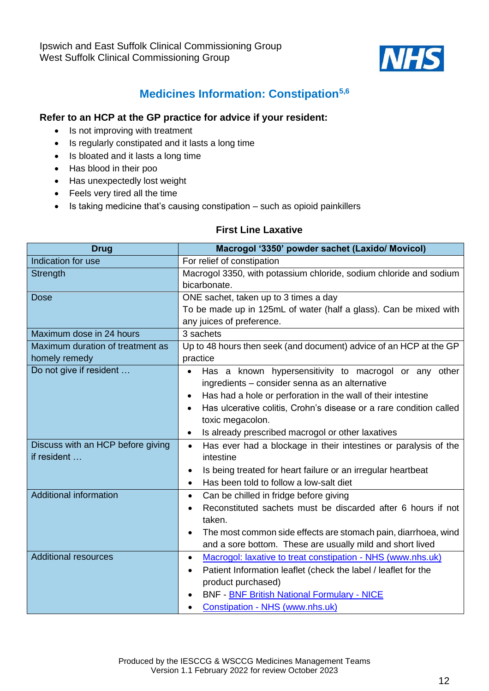

# **Medicines Information: Constipation5,6**

#### <span id="page-11-0"></span>**Refer to an HCP at the GP practice for advice if your resident:**

- Is not improving with treatment
- Is regularly constipated and it lasts a long time
- Is bloated and it lasts a long time
- Has blood in their poo
- Has unexpectedly lost weight
- Feels very tired all the time
- Is taking medicine that's causing constipation such as opioid painkillers

#### **First Line Laxative**

| <b>Drug</b>                       | Macrogol '3350' powder sachet (Laxido/ Movicol)                              |  |
|-----------------------------------|------------------------------------------------------------------------------|--|
| Indication for use                | For relief of constipation                                                   |  |
| Strength                          | Macrogol 3350, with potassium chloride, sodium chloride and sodium           |  |
|                                   | bicarbonate.                                                                 |  |
| <b>Dose</b>                       | ONE sachet, taken up to 3 times a day                                        |  |
|                                   | To be made up in 125mL of water (half a glass). Can be mixed with            |  |
|                                   | any juices of preference.                                                    |  |
| Maximum dose in 24 hours          | 3 sachets                                                                    |  |
| Maximum duration of treatment as  | Up to 48 hours then seek (and document) advice of an HCP at the GP           |  |
| homely remedy                     | practice                                                                     |  |
| Do not give if resident           | Has a known hypersensitivity to macrogol or any other<br>$\bullet$           |  |
|                                   | ingredients - consider senna as an alternative                               |  |
|                                   | Has had a hole or perforation in the wall of their intestine<br>$\bullet$    |  |
|                                   | Has ulcerative colitis, Crohn's disease or a rare condition called           |  |
|                                   | toxic megacolon.                                                             |  |
|                                   | Is already prescribed macrogol or other laxatives<br>$\bullet$               |  |
| Discuss with an HCP before giving | Has ever had a blockage in their intestines or paralysis of the<br>$\bullet$ |  |
| if resident                       | intestine                                                                    |  |
|                                   | Is being treated for heart failure or an irregular heartbeat                 |  |
|                                   | Has been told to follow a low-salt diet<br>$\bullet$                         |  |
| <b>Additional information</b>     | Can be chilled in fridge before giving<br>$\bullet$                          |  |
|                                   | Reconstituted sachets must be discarded after 6 hours if not                 |  |
|                                   | taken.                                                                       |  |
|                                   | The most common side effects are stomach pain, diarrhoea, wind               |  |
|                                   | and a sore bottom. These are usually mild and short lived                    |  |
| <b>Additional resources</b>       | Macrogol: laxative to treat constipation - NHS (www.nhs.uk)<br>$\bullet$     |  |
|                                   | Patient Information leaflet (check the label / leaflet for the               |  |
|                                   | product purchased)                                                           |  |
|                                   | <b>BNF - BNF British National Formulary - NICE</b>                           |  |
|                                   | Constipation - NHS (www.nhs.uk)                                              |  |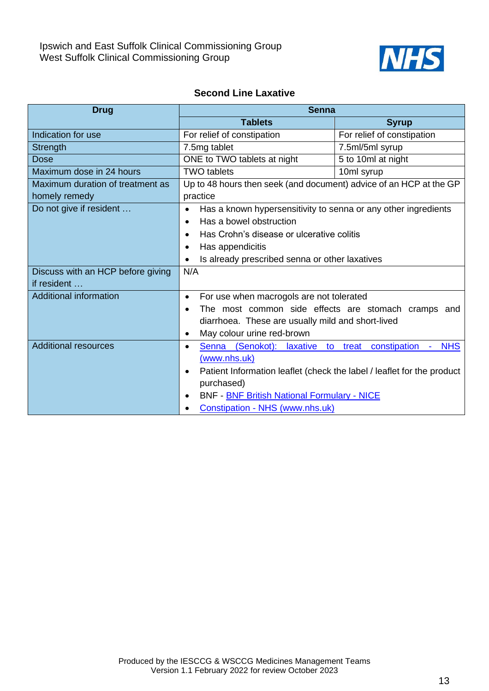

#### **Second Line Laxative**

| <b>Drug</b>                       | <b>Senna</b>                                                                        |                                           |
|-----------------------------------|-------------------------------------------------------------------------------------|-------------------------------------------|
|                                   | <b>Tablets</b>                                                                      | <b>Syrup</b>                              |
| Indication for use                | For relief of constipation                                                          | For relief of constipation                |
| Strength                          | 7.5mg tablet                                                                        | 7.5ml/5ml syrup                           |
| <b>Dose</b>                       | ONE to TWO tablets at night                                                         | 5 to 10ml at night                        |
| Maximum dose in 24 hours          | <b>TWO tablets</b>                                                                  | 10ml syrup                                |
| Maximum duration of treatment as  | Up to 48 hours then seek (and document) advice of an HCP at the GP                  |                                           |
| homely remedy                     | practice                                                                            |                                           |
| Do not give if resident           | Has a known hypersensitivity to senna or any other ingredients<br>$\bullet$         |                                           |
|                                   | Has a bowel obstruction<br>$\bullet$                                                |                                           |
|                                   | Has Crohn's disease or ulcerative colitis<br>$\bullet$                              |                                           |
|                                   | Has appendicitis                                                                    |                                           |
|                                   | Is already prescribed senna or other laxatives<br>$\bullet$                         |                                           |
| Discuss with an HCP before giving | N/A                                                                                 |                                           |
| if resident                       |                                                                                     |                                           |
| <b>Additional information</b>     | For use when macrogols are not tolerated<br>$\bullet$                               |                                           |
|                                   | The most common side effects are stomach cramps and                                 |                                           |
|                                   | diarrhoea. These are usually mild and short-lived                                   |                                           |
|                                   | May colour urine red-brown<br>$\bullet$                                             |                                           |
| <b>Additional resources</b>       | (Senokot):<br>Senna<br>laxative to<br>$\bullet$                                     | constipation<br><b>NHS</b><br>treat<br>÷. |
|                                   | (www.nhs.uk)                                                                        |                                           |
|                                   | Patient Information leaflet (check the label / leaflet for the product<br>$\bullet$ |                                           |
|                                   | purchased)                                                                          |                                           |
|                                   | <b>BNF - BNF British National Formulary - NICE</b><br>$\bullet$                     |                                           |
|                                   | Constipation - NHS (www.nhs.uk)                                                     |                                           |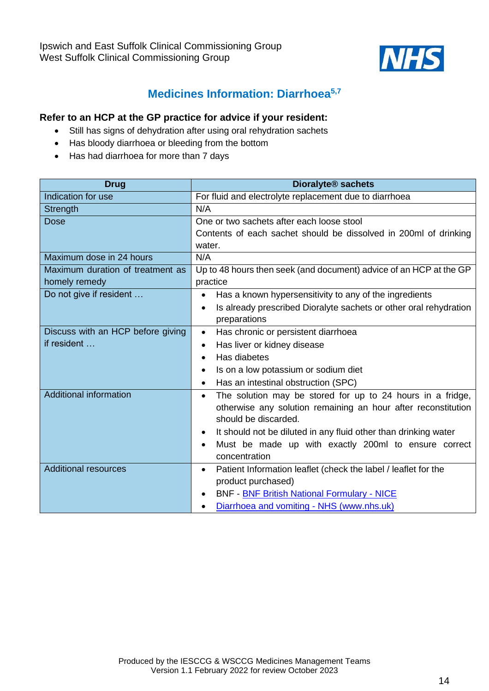

### **Medicines Information: Diarrhoea5,7**

- <span id="page-13-0"></span>• Still has signs of dehydration after using oral rehydration sachets
- Has bloody diarrhoea or bleeding from the bottom
- Has had diarrhoea for more than 7 days

| <b>Drug</b>                       | <b>Dioralyte<sup>®</sup> sachets</b>                                           |  |
|-----------------------------------|--------------------------------------------------------------------------------|--|
| Indication for use                | For fluid and electrolyte replacement due to diarrhoea                         |  |
| Strength                          | N/A                                                                            |  |
| <b>Dose</b>                       | One or two sachets after each loose stool                                      |  |
|                                   | Contents of each sachet should be dissolved in 200ml of drinking               |  |
|                                   | water.                                                                         |  |
| Maximum dose in 24 hours          | N/A                                                                            |  |
| Maximum duration of treatment as  | Up to 48 hours then seek (and document) advice of an HCP at the GP             |  |
| homely remedy                     | practice                                                                       |  |
| Do not give if resident           | Has a known hypersensitivity to any of the ingredients<br>$\bullet$            |  |
|                                   | Is already prescribed Dioralyte sachets or other oral rehydration<br>$\bullet$ |  |
|                                   | preparations                                                                   |  |
| Discuss with an HCP before giving | Has chronic or persistent diarrhoea<br>$\bullet$                               |  |
| if resident                       | Has liver or kidney disease<br>$\bullet$                                       |  |
|                                   | Has diabetes<br>$\bullet$                                                      |  |
|                                   | Is on a low potassium or sodium diet<br>$\bullet$                              |  |
|                                   | Has an intestinal obstruction (SPC)<br>$\bullet$                               |  |
| <b>Additional information</b>     | The solution may be stored for up to 24 hours in a fridge,<br>٠                |  |
|                                   | otherwise any solution remaining an hour after reconstitution                  |  |
|                                   | should be discarded.                                                           |  |
|                                   | It should not be diluted in any fluid other than drinking water<br>٠           |  |
|                                   | Must be made up with exactly 200ml to ensure correct<br>$\bullet$              |  |
|                                   | concentration                                                                  |  |
| <b>Additional resources</b>       | Patient Information leaflet (check the label / leaflet for the<br>$\bullet$    |  |
|                                   | product purchased)                                                             |  |
|                                   | <b>BNF - BNF British National Formulary - NICE</b><br>$\bullet$                |  |
|                                   | Diarrhoea and vomiting - NHS (www.nhs.uk)<br>$\bullet$                         |  |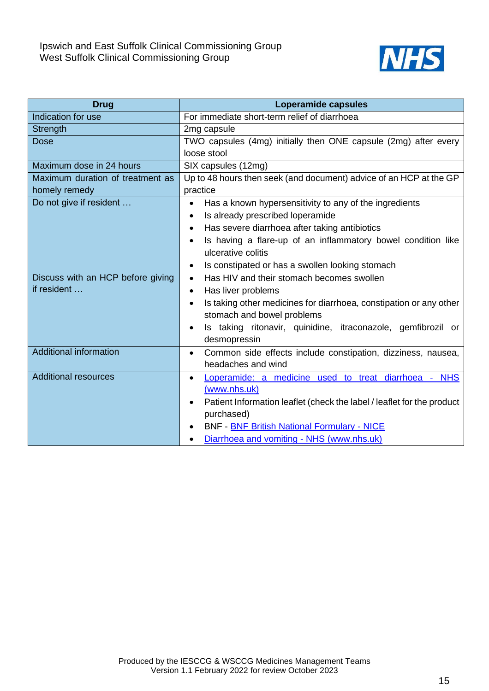

| <b>Drug</b>                       | <b>Loperamide capsules</b>                                                |
|-----------------------------------|---------------------------------------------------------------------------|
| Indication for use                | For immediate short-term relief of diarrhoea                              |
| Strength                          | 2mg capsule                                                               |
| <b>Dose</b>                       | TWO capsules (4mg) initially then ONE capsule (2mg) after every           |
|                                   | loose stool                                                               |
| Maximum dose in 24 hours          | SIX capsules (12mg)                                                       |
| Maximum duration of treatment as  | Up to 48 hours then seek (and document) advice of an HCP at the GP        |
| homely remedy                     | practice                                                                  |
| Do not give if resident           | Has a known hypersensitivity to any of the ingredients<br>$\bullet$       |
|                                   | Is already prescribed loperamide                                          |
|                                   | Has severe diarrhoea after taking antibiotics<br>$\bullet$                |
|                                   | Is having a flare-up of an inflammatory bowel condition like<br>$\bullet$ |
|                                   | ulcerative colitis                                                        |
|                                   | Is constipated or has a swollen looking stomach<br>$\bullet$              |
| Discuss with an HCP before giving | Has HIV and their stomach becomes swollen<br>$\bullet$                    |
| if resident                       | Has liver problems<br>$\bullet$                                           |
|                                   | Is taking other medicines for diarrhoea, constipation or any other        |
|                                   | stomach and bowel problems                                                |
|                                   | Is taking ritonavir, quinidine, itraconazole, gemfibrozil or              |
|                                   | desmopressin                                                              |
| <b>Additional information</b>     | Common side effects include constipation, dizziness, nausea,<br>$\bullet$ |
|                                   | headaches and wind                                                        |
| <b>Additional resources</b>       | Loperamide: a medicine used to treat diarrhoea - NHS                      |
|                                   | (www.nhs.uk)                                                              |
|                                   | Patient Information leaflet (check the label / leaflet for the product    |
|                                   | purchased)                                                                |
|                                   | <b>BNF - BNF British National Formulary - NICE</b>                        |
|                                   | Diarrhoea and vomiting - NHS (www.nhs.uk)                                 |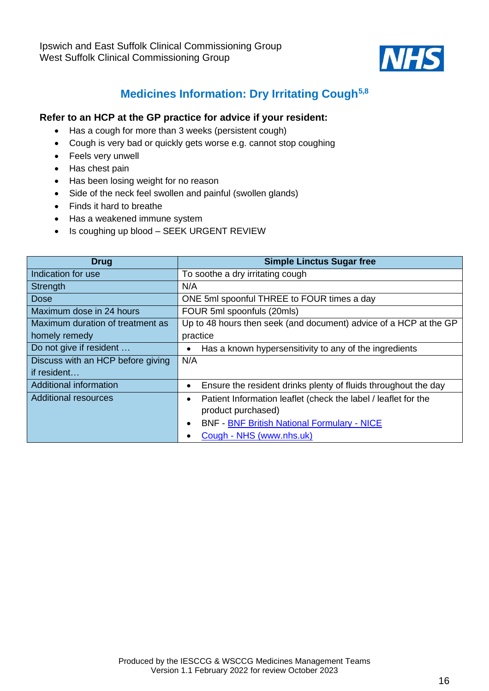

# **Medicines Information: Dry Irritating Cough5,8**

- <span id="page-15-0"></span>• Has a cough for more than 3 weeks (persistent cough)
- Cough is very bad or quickly gets worse e.g. cannot stop coughing
- Feels very unwell
- Has chest pain
- Has been losing weight for no reason
- Side of the neck feel swollen and painful (swollen glands)
- Finds it hard to breathe
- Has a weakened immune system
- Is coughing up blood SEEK URGENT REVIEW

| <b>Drug</b>                       | <b>Simple Linctus Sugar free</b>                                  |
|-----------------------------------|-------------------------------------------------------------------|
| Indication for use                | To soothe a dry irritating cough                                  |
| Strength                          | N/A                                                               |
| Dose                              | ONE 5ml spoonful THREE to FOUR times a day                        |
| Maximum dose in 24 hours          | FOUR 5ml spoonfuls (20mls)                                        |
| Maximum duration of treatment as  | Up to 48 hours then seek (and document) advice of a HCP at the GP |
| homely remedy                     | practice                                                          |
| Do not give if resident           | Has a known hypersensitivity to any of the ingredients            |
| Discuss with an HCP before giving | N/A                                                               |
| if resident                       |                                                                   |
| Additional information            | Ensure the resident drinks plenty of fluids throughout the day    |
| <b>Additional resources</b>       | Patient Information leaflet (check the label / leaflet for the    |
|                                   | product purchased)                                                |
|                                   | <b>BNF - BNF British National Formulary - NICE</b>                |
|                                   | Cough - NHS (www.nhs.uk)                                          |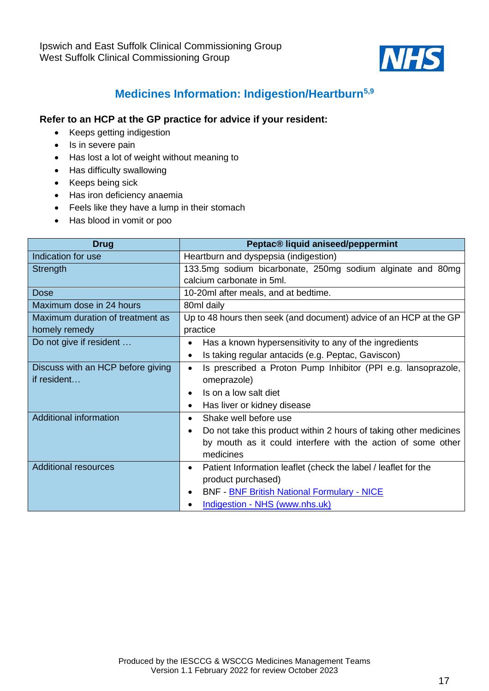

# **Medicines Information: Indigestion/Heartburn5,9**

- <span id="page-16-0"></span>• Keeps getting indigestion
- Is in severe pain
- Has lost a lot of weight without meaning to
- Has difficulty swallowing
- Keeps being sick
- Has iron deficiency anaemia
- Feels like they have a lump in their stomach
- Has blood in vomit or poo

| <b>Drug</b>                       | Peptac® liquid aniseed/peppermint                                          |  |  |  |
|-----------------------------------|----------------------------------------------------------------------------|--|--|--|
| Indication for use                | Heartburn and dyspepsia (indigestion)                                      |  |  |  |
| Strength                          | 133.5mg sodium bicarbonate, 250mg sodium alginate and 80mg                 |  |  |  |
|                                   | calcium carbonate in 5ml.                                                  |  |  |  |
| Dose                              | 10-20ml after meals, and at bedtime.                                       |  |  |  |
| Maximum dose in 24 hours          | 80ml daily                                                                 |  |  |  |
| Maximum duration of treatment as  | Up to 48 hours then seek (and document) advice of an HCP at the GP         |  |  |  |
| homely remedy                     | practice                                                                   |  |  |  |
| Do not give if resident           | Has a known hypersensitivity to any of the ingredients<br>$\bullet$        |  |  |  |
|                                   | Is taking regular antacids (e.g. Peptac, Gaviscon)<br>$\bullet$            |  |  |  |
| Discuss with an HCP before giving | Is prescribed a Proton Pump Inhibitor (PPI e.g. lansoprazole,<br>$\bullet$ |  |  |  |
| if resident                       | omeprazole)                                                                |  |  |  |
|                                   | Is on a low salt diet<br>$\bullet$                                         |  |  |  |
|                                   | Has liver or kidney disease<br>$\bullet$                                   |  |  |  |
| <b>Additional information</b>     | Shake well before use                                                      |  |  |  |
|                                   | Do not take this product within 2 hours of taking other medicines          |  |  |  |
|                                   | by mouth as it could interfere with the action of some other               |  |  |  |
|                                   | medicines                                                                  |  |  |  |
| <b>Additional resources</b>       | Patient Information leaflet (check the label / leaflet for the<br>٠        |  |  |  |
|                                   | product purchased)                                                         |  |  |  |
|                                   | <b>BNF - BNF British National Formulary - NICE</b>                         |  |  |  |
|                                   | Indigestion - NHS (www.nhs.uk)                                             |  |  |  |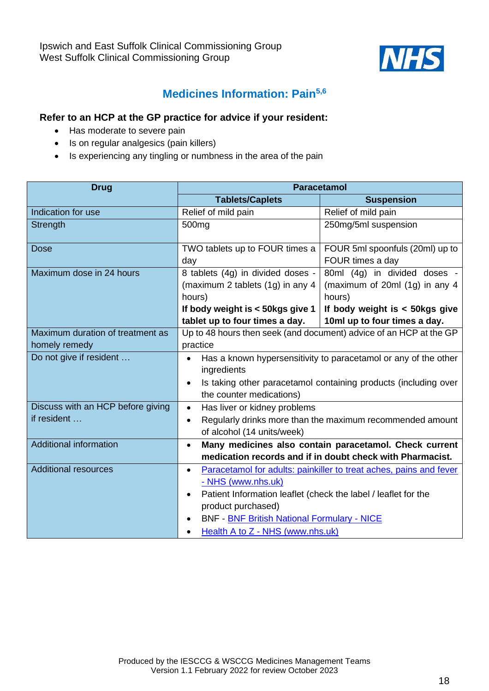

### **Medicines Information: Pain5,6**

- <span id="page-17-0"></span>• Has moderate to severe pain
- Is on regular analgesics (pain killers)
- Is experiencing any tingling or numbness in the area of the pain

<span id="page-17-1"></span>

| <b>Drug</b>                       | <b>Paracetamol</b>                                                          |                                                                    |  |
|-----------------------------------|-----------------------------------------------------------------------------|--------------------------------------------------------------------|--|
|                                   | <b>Tablets/Caplets</b>                                                      | <b>Suspension</b>                                                  |  |
| Indication for use                | Relief of mild pain                                                         | Relief of mild pain                                                |  |
| Strength                          | 500 <sub>mg</sub>                                                           | 250mg/5ml suspension                                               |  |
| <b>Dose</b>                       | TWO tablets up to FOUR times a                                              | FOUR 5ml spoonfuls (20ml) up to                                    |  |
|                                   | day                                                                         | FOUR times a day                                                   |  |
| Maximum dose in 24 hours          | 8 tablets (4g) in divided doses -                                           | 80ml (4g) in divided doses -                                       |  |
|                                   | (maximum 2 tablets (1g) in any 4                                            | (maximum of 20ml $(1g)$ in any 4                                   |  |
|                                   | hours)                                                                      | hours)                                                             |  |
|                                   | If body weight is < 50kgs give 1                                            | If body weight is $<$ 50kgs give                                   |  |
|                                   | tablet up to four times a day.                                              | 10ml up to four times a day.                                       |  |
| Maximum duration of treatment as  | Up to 48 hours then seek (and document) advice of an HCP at the GP          |                                                                    |  |
| homely remedy                     | practice                                                                    |                                                                    |  |
| Do not give if resident           | Has a known hypersensitivity to paracetamol or any of the other             |                                                                    |  |
|                                   | ingredients                                                                 |                                                                    |  |
|                                   |                                                                             | Is taking other paracetamol containing products (including over    |  |
|                                   | the counter medications)                                                    |                                                                    |  |
| Discuss with an HCP before giving | Has liver or kidney problems<br>$\bullet$                                   |                                                                    |  |
| if resident                       | $\bullet$                                                                   | Regularly drinks more than the maximum recommended amount          |  |
|                                   | of alcohol (14 units/week)                                                  |                                                                    |  |
| <b>Additional information</b>     | $\bullet$                                                                   | Many medicines also contain paracetamol. Check current             |  |
|                                   |                                                                             | medication records and if in doubt check with Pharmacist.          |  |
| <b>Additional resources</b>       | $\bullet$                                                                   | Paracetamol for adults: painkiller to treat aches, pains and fever |  |
|                                   | - NHS (www.nhs.uk)                                                          |                                                                    |  |
|                                   | Patient Information leaflet (check the label / leaflet for the<br>$\bullet$ |                                                                    |  |
|                                   | product purchased)                                                          |                                                                    |  |
|                                   | <b>BNF - BNF British National Formulary - NICE</b>                          |                                                                    |  |
|                                   | Health A to Z - NHS (www.nhs.uk)                                            |                                                                    |  |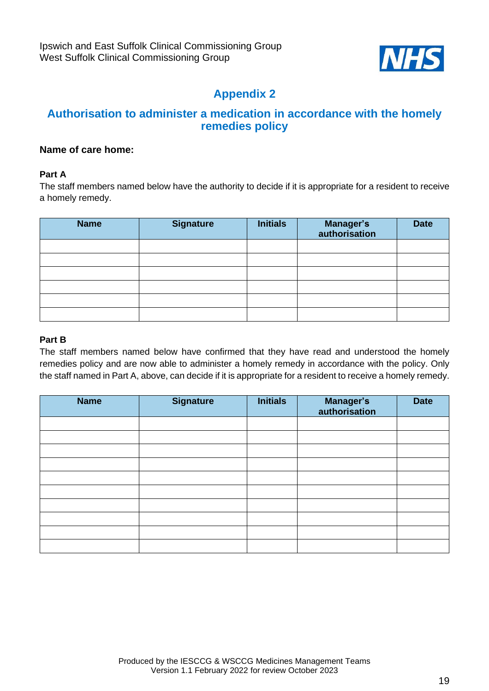

#### **Authorisation to administer a medication in accordance with the homely remedies policy**

#### **Name of care home:**

#### **Part A**

The staff members named below have the authority to decide if it is appropriate for a resident to receive a homely remedy.

| <b>Name</b> | <b>Signature</b> | <b>Initials</b> | Manager's<br>authorisation | <b>Date</b> |
|-------------|------------------|-----------------|----------------------------|-------------|
|             |                  |                 |                            |             |
|             |                  |                 |                            |             |
|             |                  |                 |                            |             |
|             |                  |                 |                            |             |
|             |                  |                 |                            |             |
|             |                  |                 |                            |             |

#### **Part B**

The staff members named below have confirmed that they have read and understood the homely remedies policy and are now able to administer a homely remedy in accordance with the policy. Only the staff named in Part A, above, can decide if it is appropriate for a resident to receive a homely remedy.

| <b>Name</b> | <b>Signature</b> | <b>Initials</b> | <b>Manager's</b><br>authorisation | <b>Date</b> |
|-------------|------------------|-----------------|-----------------------------------|-------------|
|             |                  |                 |                                   |             |
|             |                  |                 |                                   |             |
|             |                  |                 |                                   |             |
|             |                  |                 |                                   |             |
|             |                  |                 |                                   |             |
|             |                  |                 |                                   |             |
|             |                  |                 |                                   |             |
|             |                  |                 |                                   |             |
|             |                  |                 |                                   |             |
|             |                  |                 |                                   |             |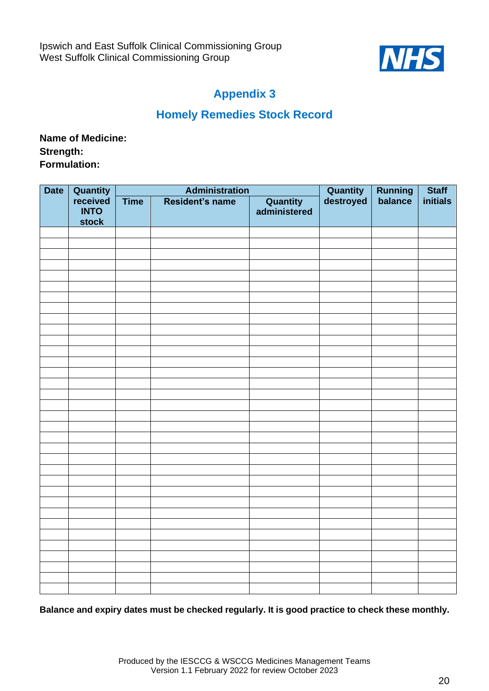

### **Homely Remedies Stock Record**

**Name of Medicine: Strength: Formulation:**

| <b>Date</b> |                                                            | <b>Administration</b> |                 |                                 | <b>Running</b><br>balance    | <b>Staff</b> |          |
|-------------|------------------------------------------------------------|-----------------------|-----------------|---------------------------------|------------------------------|--------------|----------|
|             | <b>Quantity</b><br>received<br><b>INTO</b><br><b>stock</b> | <b>Time</b>           | Resident's name | <b>Quantity</b><br>administered | <b>Quantity</b><br>destroyed |              | initials |
|             |                                                            |                       |                 |                                 |                              |              |          |
|             |                                                            |                       |                 |                                 |                              |              |          |
|             |                                                            |                       |                 |                                 |                              |              |          |
|             |                                                            |                       |                 |                                 |                              |              |          |
|             |                                                            |                       |                 |                                 |                              |              |          |
|             |                                                            |                       |                 |                                 |                              |              |          |
|             |                                                            |                       |                 |                                 |                              |              |          |
|             |                                                            |                       |                 |                                 |                              |              |          |
|             |                                                            |                       |                 |                                 |                              |              |          |
|             |                                                            |                       |                 |                                 |                              |              |          |
|             |                                                            |                       |                 |                                 |                              |              |          |
|             |                                                            |                       |                 |                                 |                              |              |          |
|             |                                                            |                       |                 |                                 |                              |              |          |
|             |                                                            |                       |                 |                                 |                              |              |          |
|             |                                                            |                       |                 |                                 |                              |              |          |
|             |                                                            |                       |                 |                                 |                              |              |          |
|             |                                                            |                       |                 |                                 |                              |              |          |
|             |                                                            |                       |                 |                                 |                              |              |          |
|             |                                                            |                       |                 |                                 |                              |              |          |
|             |                                                            |                       |                 |                                 |                              |              |          |
|             |                                                            |                       |                 |                                 |                              |              |          |
|             |                                                            |                       |                 |                                 |                              |              |          |
|             |                                                            |                       |                 |                                 |                              |              |          |
|             |                                                            |                       |                 |                                 |                              |              |          |
|             |                                                            |                       |                 |                                 |                              |              |          |
|             |                                                            |                       |                 |                                 |                              |              |          |
|             |                                                            |                       |                 |                                 |                              |              |          |
|             |                                                            |                       |                 |                                 |                              |              |          |
|             |                                                            |                       |                 |                                 |                              |              |          |
|             |                                                            |                       |                 |                                 |                              |              |          |
|             |                                                            |                       |                 |                                 |                              |              |          |
|             |                                                            |                       |                 |                                 |                              |              |          |
|             |                                                            |                       |                 |                                 |                              |              |          |

**Balance and expiry dates must be checked regularly. It is good practice to check these monthly.**